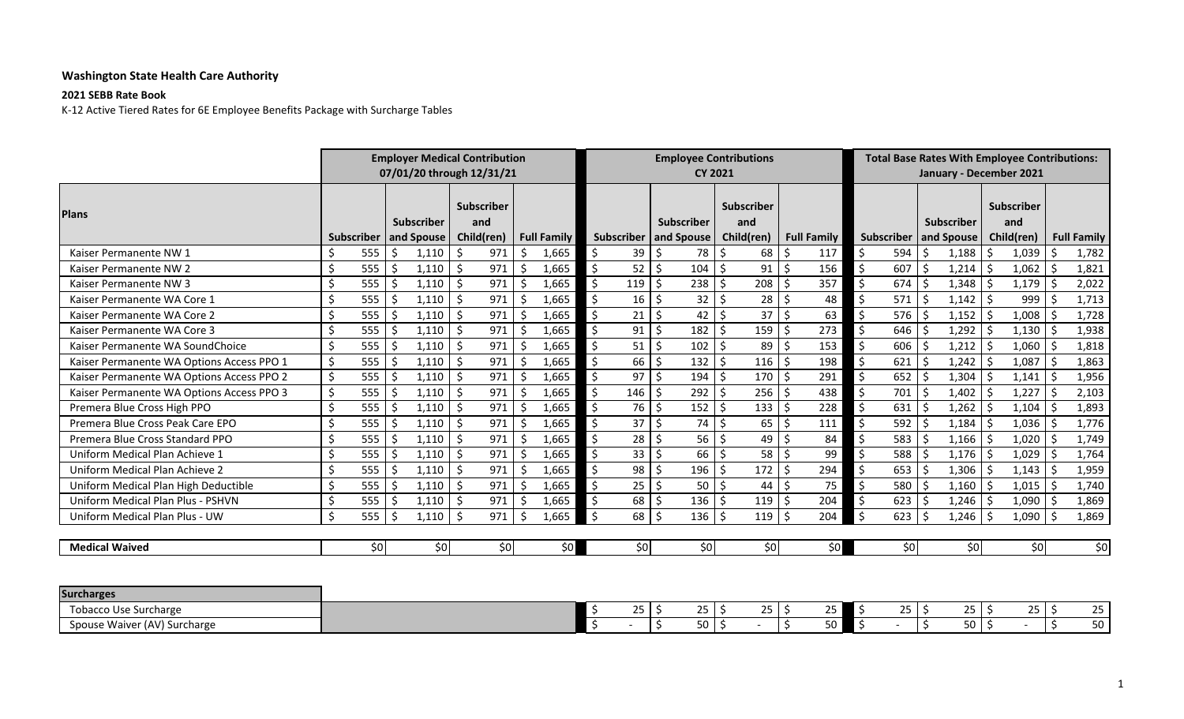## **Washington State Health Care Authority**

## **2021 SEBB Rate Book**

K‐12 Active Tiered Rates for 6E Employee Benefits Package with Surcharge Tables

|                                           |         |            |    | <b>Employer Medical Contribution</b><br>07/01/20 through 12/31/21 |    |                                        |    |                    |                      |                         |                         | <b>CY 2021</b>  | <b>Employee Contributions</b>          |     |                    |                          | <b>Total Base Rates With Employee Contributions:</b><br>January - December 2021 |                    |            |    |                                        |         |                    |
|-------------------------------------------|---------|------------|----|-------------------------------------------------------------------|----|----------------------------------------|----|--------------------|----------------------|-------------------------|-------------------------|-----------------|----------------------------------------|-----|--------------------|--------------------------|---------------------------------------------------------------------------------|--------------------|------------|----|----------------------------------------|---------|--------------------|
| <b>Plans</b>                              |         | Subscriber |    | <b>Subscriber</b><br>and Spouse                                   |    | <b>Subscriber</b><br>and<br>Child(ren) |    | <b>Full Family</b> |                      | Subscriber   and Spouse | Subscriber              |                 | <b>Subscriber</b><br>and<br>Child(ren) |     | <b>Full Family</b> |                          | Subscriber   and Spouse                                                         |                    | Subscriber |    | <b>Subscriber</b><br>and<br>Child(ren) |         | <b>Full Family</b> |
| Kaiser Permanente NW 1                    | \$      | 555        | Ś. | 1,110                                                             | Ŝ. | 971                                    | Ś. | 1,665              | \$                   | 39                      | \$                      | 78              | \$                                     | 68  | 117<br>\$          | \$                       | 594                                                                             |                    | 1,188      | Ŝ. | 1,039                                  | -Ś      | 1,782              |
| Kaiser Permanente NW 2                    | Ś       | 555        | Ŝ. | 1,110                                                             | -Ś | 971                                    | Ś  | 1,665              | $\zeta$              | 52                      | \$                      | 104             | $\zeta$                                | 91  | 156<br>\$          | \$                       | 607                                                                             | Ś                  | 1,214      | \$ | $1,062$ \$                             |         | 1,821              |
| Kaiser Permanente NW 3                    | Ś       | 555        |    | 1,110                                                             | \$ | 971                                    |    | 1,665              | $\zeta$              | 119                     | $\zeta$                 | 238             | \$                                     | 208 | 357<br>-Ś          | \$                       | 674                                                                             |                    | 1,348      |    | 1,179                                  | - Ś     | 2,022              |
| Kaiser Permanente WA Core 1               | \$      | 555        |    | 1,110                                                             | Ŝ. | 971                                    | Ś  | 1,665              | \$                   | 16                      | \$                      | 32              | \$                                     | 28  | 48<br>\$           | $\zeta$                  | 571                                                                             |                    | 1,142      |    | 999                                    |         | 1,713              |
| Kaiser Permanente WA Core 2               | \$      | 555        | Ŝ. | 1,110                                                             | -Ś | 971                                    | Ś. | 1,665              | \$                   | 21                      | \$                      | 42              | \$                                     | 37  | $\zeta$<br>63      | \$                       | 576                                                                             | ς                  | 1,152      | \$ | 1,008                                  | l \$    | 1,728              |
| Kaiser Permanente WA Core 3               | Ś.      | 555        |    | 1,110                                                             | Ŝ. | 971                                    | Ŝ. | 1,665              | \$                   | 91                      | Ś.                      | 182             | \$                                     | 159 | 273<br>-Ś          | \$                       | 646                                                                             |                    | 1,292      |    | 1,130                                  | - Ś     | 1,938              |
| Kaiser Permanente WA SoundChoice          | Ś.      | 555        |    | 1,110                                                             | Ŝ. | 971                                    | Š. | 1,665              | $\zeta$              | 51                      | $\zeta$                 | 102             | \$                                     | 89  | 153<br>S,          | $\zeta$                  | 606                                                                             |                    | 1,212      | \$ | 1,060                                  | -\$     | 1,818              |
| Kaiser Permanente WA Options Access PPO 1 | \$      | 555        |    | 1,110                                                             | Ś. | 971                                    |    | 1,665              | \$                   | 66                      | $\zeta$                 | 132             | \$                                     | 116 | 198<br>-Ś          | \$                       | 621                                                                             |                    | 1,242      |    | 1,087                                  | - Ś     | 1,863              |
| Kaiser Permanente WA Options Access PPO 2 | $\zeta$ | 555        |    | 1,110                                                             | Ŝ. | 971                                    |    | 1,665              | $\zeta$              | 97                      | $\zeta$                 | 194             | \$                                     | 170 | 291<br>$\zeta$     | $\mathsf{S}$             | 652                                                                             |                    | 1,304      |    | 1,141                                  | Ŝ.      | 1,956              |
| Kaiser Permanente WA Options Access PPO 3 | $\zeta$ | 555        | ς. | 1,110                                                             | Ŝ. | 971                                    | Ś  | 1,665              | $\boldsymbol{\zeta}$ | $146$ \$                |                         | 292             | -\$                                    | 256 | 438<br>-Ś          | $\mathsf{S}$             | 701                                                                             | ς.                 | 1,402      | Ŝ. | 1,227                                  | l \$    | 2,103              |
| Premera Blue Cross High PPO               | Ś.      | 555        |    | 1,110                                                             | Ŝ. | 971                                    | Ŝ. | 1,665              | \$                   | 76                      | $\zeta$                 | 152             | \$                                     | 133 | 228<br>-Ś          | \$                       | 631                                                                             |                    | 1,262      |    | 1,104                                  | -Ś      | 1,893              |
| Premera Blue Cross Peak Care EPO          | Ś.      | 555        |    | 1,110                                                             | Ŝ. | 971                                    | Ś  | 1,665              | $\mathsf{S}$         | 37 <sup>1</sup>         | $\zeta$                 | 74              | $\zeta$                                | 65  | S,<br>111          | $\zeta$                  | 592                                                                             | Ś                  | 1,184      | Ś  | 1,036                                  | l \$    | 1,776              |
| Premera Blue Cross Standard PPO           | \$      | 555        |    | 1,110                                                             | Ŝ. | 971                                    | Ś  | 1,665              | $\zeta$              | 28                      | \$                      | 56              | \$                                     | 49  | 84<br>\$           | \$                       | 583                                                                             |                    | 1,166      | Ś  | 1,020                                  | -Ś      | 1,749              |
| Uniform Medical Plan Achieve 1            | Ŝ.      | 555        |    | 1,110                                                             | -Ś | 971                                    | Ś. | 1,665              | $\zeta$              | $33$   \$               |                         | 66              | $\mathsf{\dot{S}}$                     | 58  | $\zeta$<br>99      | $\zeta$                  | 588                                                                             | ς.                 | 1,176      | Ŝ. | $1,029$ \$                             |         | 1,764              |
| Uniform Medical Plan Achieve 2            | Ś.      | 555        |    | 1,110                                                             | -Ś | 971                                    | Ś  | 1,665              | $\zeta$              | 98                      | \$                      | 196             | $\zeta$                                | 172 | \$<br>294          | $\mathsf{S}$             | 653                                                                             |                    | 1,306      | Ŝ. | 1,143                                  | l \$    | 1,959              |
| Uniform Medical Plan High Deductible      | Ś       | 555        |    | 1,110                                                             | Ŝ. | 971                                    |    | 1,665              | $\zeta$              | 25                      | $\zeta$                 | 50              | Ŝ.                                     | 44  | 75<br>Ŝ.           | Ŝ.                       | 580                                                                             |                    | 1,160      |    | 1,015                                  | l \$    | 1,740              |
| Uniform Medical Plan Plus - PSHVN         | Ś.      | 555        |    | 1,110                                                             | Ŝ. | 971                                    |    | 1,665              | $\zeta$              | 68                      | $\zeta$                 | 136             | Ŝ.                                     | 119 | 204<br>-Ś          | $\zeta$                  | 623                                                                             |                    | 1,246      |    | 1,090                                  | -\$     | 1,869              |
| Uniform Medical Plan Plus - UW            | $\zeta$ | 555        |    | 1,110                                                             | -Ś | 971                                    | \$ | 1,665              | $\zeta$              | 68                      | \$                      | 136             | -Ś                                     | 119 | S,<br>204          | $\mathsf{S}$             | 623                                                                             | ς.                 | 1,246      | Ŝ. | 1,090                                  | -Ś      | 1,869              |
| <b>Medical Waived</b>                     |         | \$0        |    | \$0                                                               |    | \$0                                    |    | \$0                |                      | \$0                     |                         | \$0             |                                        | \$0 | \$0                |                          | \$0                                                                             |                    | \$0        |    | \$0                                    |         | \$0                |
| <b>Surcharges</b>                         |         |            |    |                                                                   |    |                                        |    |                    |                      |                         |                         |                 |                                        |     |                    |                          |                                                                                 |                    |            |    |                                        |         |                    |
| <b>Tobacco Use Surcharge</b>              |         |            |    |                                                                   |    |                                        |    |                    | -\$                  | 25                      | \$                      | 25              | -Ś                                     | 25  | -\$<br>25          | \$                       | 25                                                                              | Ŝ.                 | $25$   \$  |    | $25$   \$                              |         | 25                 |
| Spouse Waiver (AV) Surcharge              |         |            |    |                                                                   |    |                                        |    |                    |                      |                         | $\overline{\mathsf{S}}$ | 50 <sup>1</sup> | \$                                     |     | $\zeta$<br>50      | $\overline{\mathcal{S}}$ |                                                                                 | $\mathsf{\dot{S}}$ | $50$   \$  |    |                                        | $\zeta$ | 50                 |